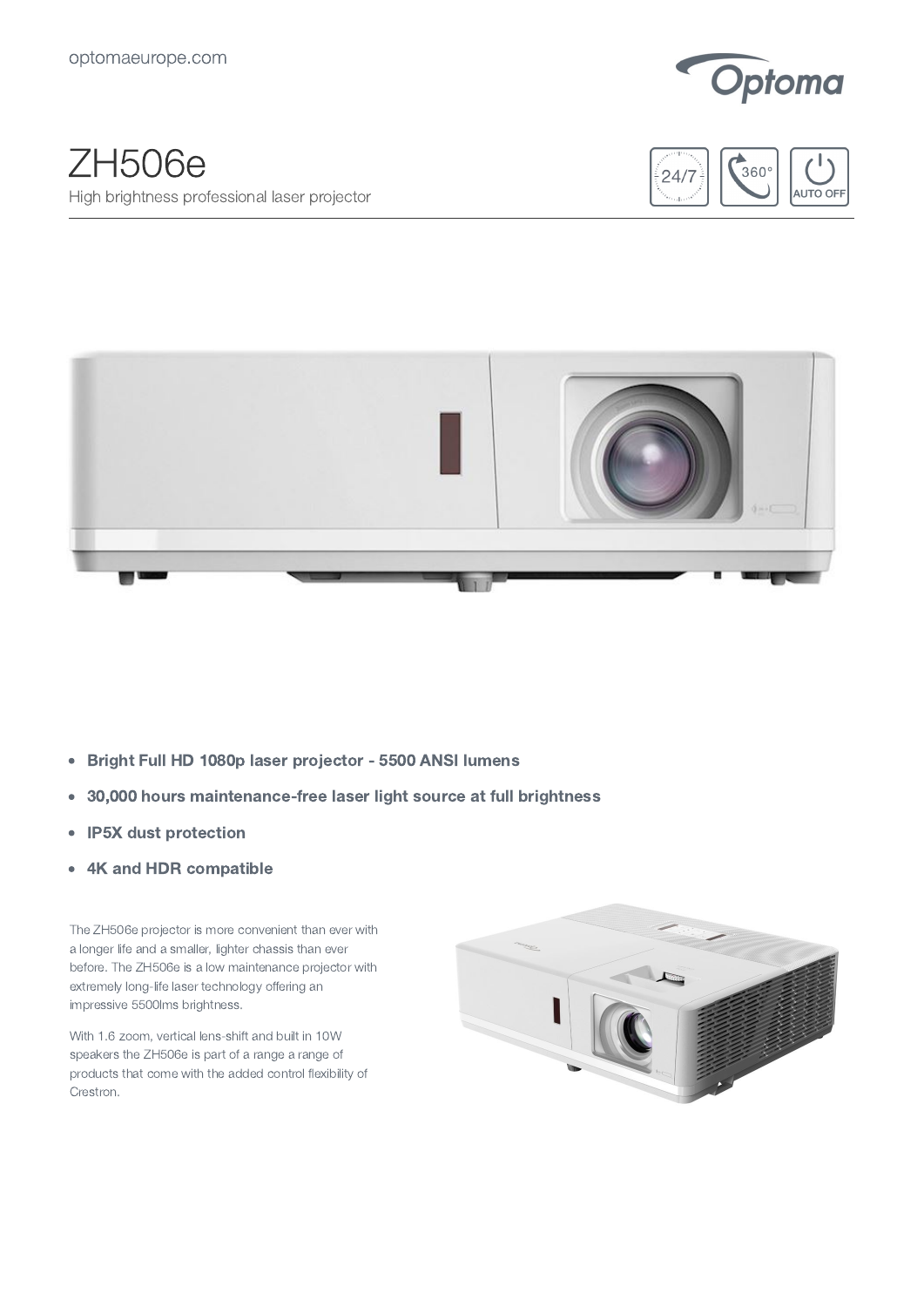

## ZH506e High brightness professional laser projector





- Bright Full HD 1080p laser projector 5500 ANSI lumens  $\bullet$
- 30,000 hours maintenance-free laser light source at full brightness  $\bullet$
- IP5X dust protection  $\bullet$
- 4K and HDR compatible  $\bullet$

The ZH506e projector is more convenient than ever with a longer life and a smaller, lighter chassis than ever before. The ZH506e is a low maintenance projector with extremely long-life laser technology offering an impressive 5500lms brightness.

With 1.6 zoom, vertical lens-shift and built in 10W speakers the ZH506e is part of a range a range of products that come with the added control flexibility of Crestron.